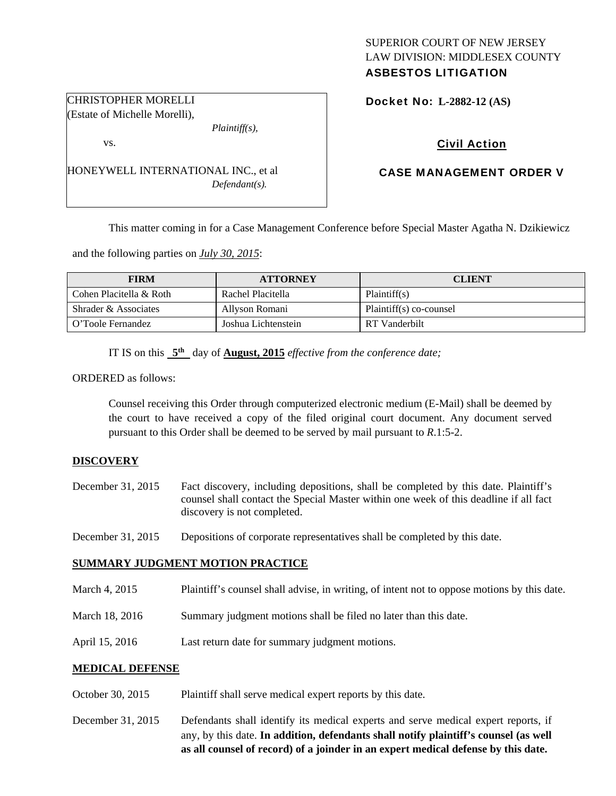# SUPERIOR COURT OF NEW JERSEY LAW DIVISION: MIDDLESEX COUNTY

## ASBESTOS LITIGATION

Docket No: **L-2882-12 (AS)** 

## Civil Action

### CASE MANAGEMENT ORDER V

This matter coming in for a Case Management Conference before Special Master Agatha N. Dzikiewicz

and the following parties on *July 30, 2015*:

HONEYWELL INTERNATIONAL INC., et al

| <b>FIRM</b>             | <b>ATTORNEY</b>     | <b>CLIENT</b>           |
|-------------------------|---------------------|-------------------------|
| Cohen Placitella & Roth | Rachel Placitella   | Plaintiff(s)            |
| Shrader & Associates    | Allyson Romani      | Plaintiff(s) co-counsel |
| O'Toole Fernandez       | Joshua Lichtenstein | RT Vanderbilt           |

IT IS on this **5th** day of **August, 2015** *effective from the conference date;*

*Plaintiff(s),* 

*Defendant(s).* 

ORDERED as follows:

Counsel receiving this Order through computerized electronic medium (E-Mail) shall be deemed by the court to have received a copy of the filed original court document. Any document served pursuant to this Order shall be deemed to be served by mail pursuant to *R*.1:5-2.

#### **DISCOVERY**

- December 31, 2015 Fact discovery, including depositions, shall be completed by this date. Plaintiff's counsel shall contact the Special Master within one week of this deadline if all fact discovery is not completed.
- December 31, 2015 Depositions of corporate representatives shall be completed by this date.

#### **SUMMARY JUDGMENT MOTION PRACTICE**

- March 4, 2015 Plaintiff's counsel shall advise, in writing, of intent not to oppose motions by this date.
- March 18, 2016 Summary judgment motions shall be filed no later than this date.
- April 15, 2016 Last return date for summary judgment motions.

#### **MEDICAL DEFENSE**

- October 30, 2015 Plaintiff shall serve medical expert reports by this date.
- December 31, 2015 Defendants shall identify its medical experts and serve medical expert reports, if any, by this date. **In addition, defendants shall notify plaintiff's counsel (as well as all counsel of record) of a joinder in an expert medical defense by this date.**

CHRISTOPHER MORELLI (Estate of Michelle Morelli),

vs.